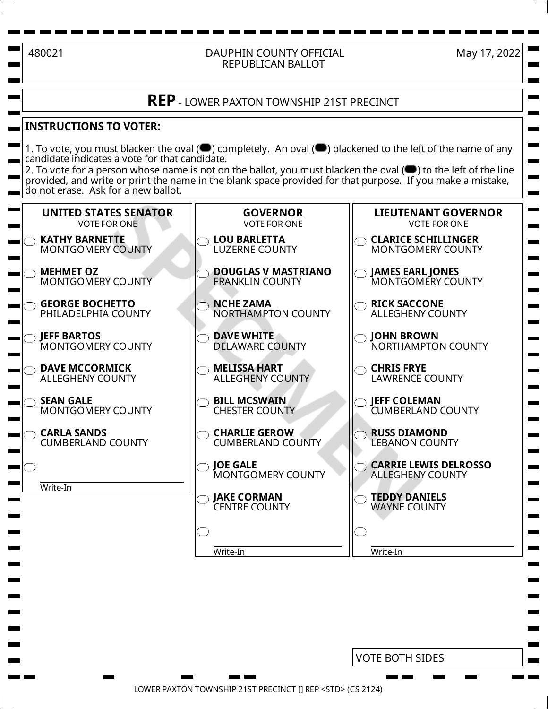## 480021 DAUPHIN COUNTY OFFICIAL REPUBLICAN BALLOT

May 17, 2022

## **REP** - LOWER PAXTON TOWNSHIP 21ST PRECINCT

## **INSTRUCTIONS TO VOTER:**

1. To vote, you must blacken the oval (●) completely. An oval (●) blackened to the left of the name of any candidate indicates a vote for that candidate.

2. To vote for a person whose name is not on the ballot, you must blacken the oval  $($ **)** to the left of the line provided, and write or print the name in the blank space provided for that purpose. If you make a mistake, do not erase. Ask for a new ballot.